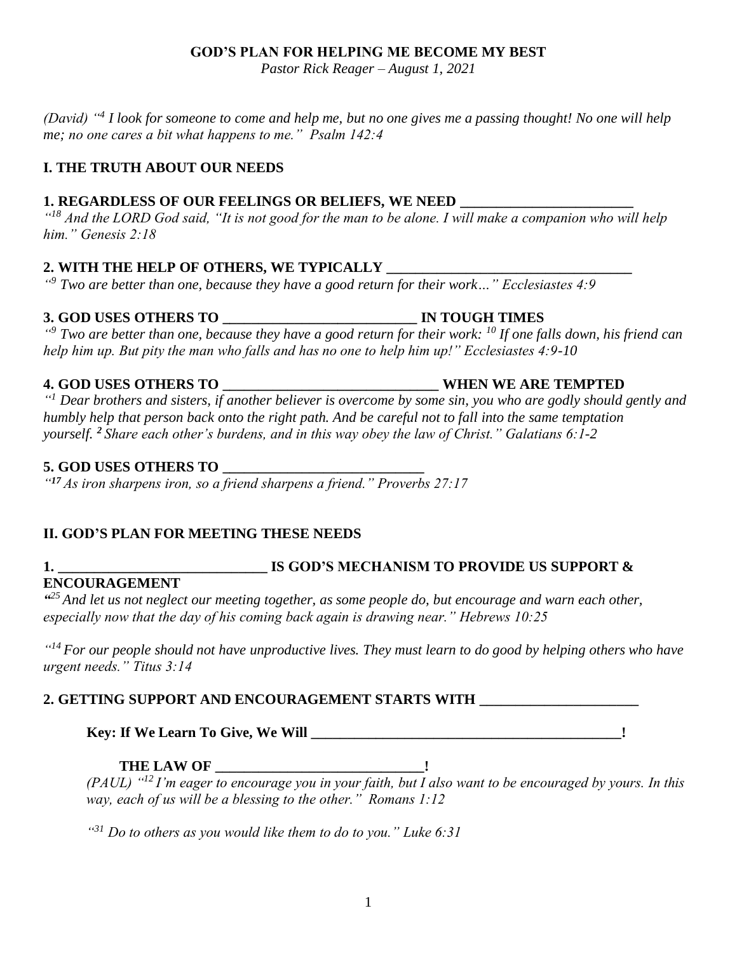## **GOD'S PLAN FOR HELPING ME BECOME MY BEST**

*Pastor Rick Reager – August 1, 2021*

*(David) "<sup>4</sup> I look for someone to come and help me, but no one gives me a passing thought! No one will help me; no one cares a bit what happens to me." Psalm 142:4*

#### **I. THE TRUTH ABOUT OUR NEEDS**

#### **1. REGARDLESS OF OUR FEELINGS OR BELIEFS, WE NEED**

<sup>"
<sup>18</sup> And the LORD God said, "It is not good for the man to be alone. I will make a companion who will help</sup> *him." Genesis 2:18*

## **2. WITH THE HELP OF OTHERS, WE TYPICALLY \_\_\_\_\_\_\_\_\_\_\_\_\_\_\_\_\_\_\_\_\_\_\_\_\_\_\_\_\_\_\_\_\_\_**

*" <sup>9</sup> Two are better than one, because they have a good return for their work…" Ecclesiastes 4:9* 

### **3. GOD USES OTHERS TO \_\_\_\_\_\_\_\_\_\_\_\_\_\_\_\_\_\_\_\_\_\_\_\_\_\_\_ IN TOUGH TIMES**

*" <sup>9</sup> Two are better than one, because they have a good return for their work: <sup>10</sup> If one falls down, his friend can help him up. But pity the man who falls and has no one to help him up!" Ecclesiastes 4:9-10* 

#### **4. GOD USES OTHERS TO \_\_\_\_\_\_\_\_\_\_\_\_\_\_\_\_\_\_\_\_\_\_\_\_\_\_\_\_\_\_ WHEN WE ARE TEMPTED**

*" <sup>1</sup> Dear brothers and sisters, if another believer is overcome by some sin, you who are godly should gently and humbly help that person back onto the right path. And be careful not to fall into the same temptation yourself. <sup>2</sup> Share each other's burdens, and in this way obey the law of Christ." Galatians 6:1-2*

#### **5. GOD USES OTHERS TO \_\_\_\_\_\_\_\_\_\_\_\_\_\_\_\_\_\_\_\_\_\_\_\_\_\_\_\_**

*" <sup>17</sup> As iron sharpens iron, so a friend sharpens a friend." Proverbs 27:17*

## **II. GOD'S PLAN FOR MEETING THESE NEEDS**

# **ENCOURAGEMENT**

# **1. \_\_\_\_\_\_\_\_\_\_\_\_\_\_\_\_\_\_\_\_\_\_\_\_\_\_\_\_\_ IS GOD'S MECHANISM TO PROVIDE US SUPPORT &**

*" <sup>25</sup>And let us not neglect our meeting together, as some people do, but encourage and warn each other, especially now that the day of his coming back again is drawing near." Hebrews 10:25*

*" <sup>14</sup>For our people should not have unproductive lives. They must learn to do good by helping others who have urgent needs." Titus 3:14*

## **2. GETTING SUPPORT AND ENCOURAGEMENT STARTS WITH \_\_\_\_\_\_\_\_\_\_\_\_\_\_\_\_\_\_\_\_\_\_**

**Key: If We Learn To Give, We Will \_\_\_\_\_\_\_\_\_\_\_\_\_\_\_\_\_\_\_\_\_\_\_\_\_\_\_\_\_\_\_\_\_\_\_\_\_\_\_\_\_\_\_!**

## **THE LAW OF \_\_\_\_\_\_\_\_\_\_\_\_\_\_\_\_\_\_\_\_\_\_\_\_\_\_\_\_\_!**

*(PAUL) "<sup>12</sup>I'm eager to encourage you in your faith, but I also want to be encouraged by yours. In this way, each of us will be a blessing to the other." Romans 1:12*

*" <sup>31</sup> Do to others as you would like them to do to you." Luke 6:31*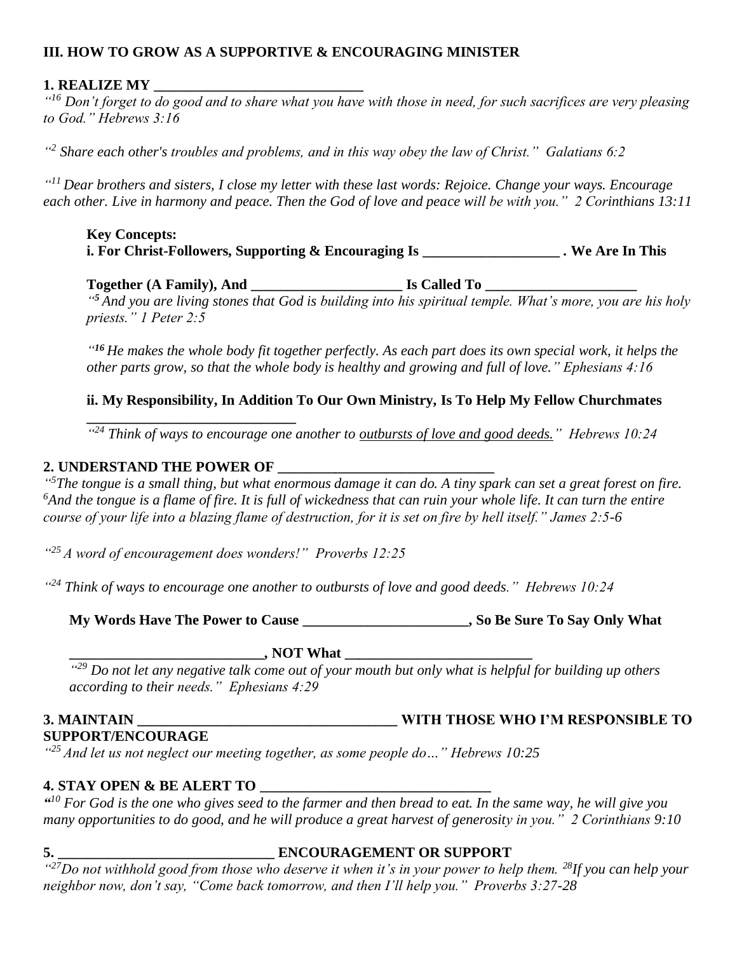### **III. HOW TO GROW AS A SUPPORTIVE & ENCOURAGING MINISTER**

#### **1. REALIZE MY \_\_\_\_\_\_\_\_\_\_\_\_\_\_\_\_\_\_\_\_\_\_\_\_\_\_\_\_\_**

*" <sup>16</sup> Don't forget to do good and to share what you have with those in need, for such sacrifices are very pleasing to God." Hebrews 3:16*

*" 2 Share each other's troubles and problems, and in this way obey the law of Christ." Galatians 6:2*

*" <sup>11</sup>Dear brothers and sisters, I close my letter with these last words: Rejoice. Change your ways. Encourage each other. Live in harmony and peace. Then the God of love and peace will be with you." 2 Corinthians 13:11*

#### **Key Concepts: i. For Christ-Followers, Supporting & Encouraging Is \_\_\_\_\_\_\_\_\_\_\_\_\_\_\_\_\_\_\_** *.* **We Are In This**

**Together (A Family), And \_\_\_\_\_\_\_\_\_\_\_\_\_\_\_\_\_\_\_\_\_ Is Called To \_\_\_\_\_\_\_\_\_\_\_\_\_\_\_\_\_\_\_\_\_**

*" <sup>5</sup> And you are living stones that God is building into his spiritual temple. What's more, you are his holy priests." 1 Peter 2:5*

*" <sup>16</sup> He makes the whole body fit together perfectly. As each part does its own special work, it helps the other parts grow, so that the whole body is healthy and growing and full of love." Ephesians 4:16*

#### **ii. My Responsibility, In Addition To Our Own Ministry, Is To Help My Fellow Churchmates**

<sup>424</sup> Think of ways to encourage one another to **outbursts of love and good deeds.**" Hebrews 10:24

#### **2. UNDERSTAND THE POWER OF \_\_\_\_\_\_\_\_\_\_\_\_\_\_\_\_\_\_\_\_\_\_\_\_\_\_\_\_\_\_**

**\_\_\_\_\_\_\_\_\_\_\_\_\_\_\_\_\_\_\_\_\_\_\_\_\_\_\_\_\_**

*" <sup>5</sup>The tongue is a small thing, but what enormous damage it can do. A tiny spark can set a great forest on fire.*  <sup>6</sup>And the tongue is a flame of fire. It is full of wickedness that can ruin your whole life. It can turn the entire *course of your life into a blazing flame of destruction, for it is set on fire by hell itself." James 2:5-6*

*" <sup>25</sup>A word of encouragement does wonders!" Proverbs 12:25* 

*" <sup>24</sup> Think of ways to encourage one another to outbursts of love and good deeds." Hebrews 10:24*

**My Words Have The Power to Cause \_\_\_\_\_\_\_\_\_\_\_\_\_\_\_\_\_\_\_\_\_\_\_, So Be Sure To Say Only What** 

**\_\_\_\_\_\_\_\_\_\_\_\_\_\_\_\_\_\_\_\_\_\_\_\_\_\_\_, NOT What \_\_\_\_\_\_\_\_\_\_\_\_\_\_\_\_\_\_\_\_\_\_\_\_\_\_**

*" <sup>29</sup> Do not let any negative talk come out of your mouth but only what is helpful for building up others according to their needs." Ephesians 4:29*

#### **3. MAINTAIN \_\_\_\_\_\_\_\_\_\_\_\_\_\_\_\_\_\_\_\_\_\_\_\_\_\_\_\_\_\_\_\_\_\_\_\_ WITH THOSE WHO I'M RESPONSIBLE TO SUPPORT/ENCOURAGE**

*" <sup>25</sup> And let us not neglect our meeting together, as some people do…" Hebrews 10:25*

#### **4. STAY OPEN & BE ALERT TO**

*" <sup>10</sup> For God is the one who gives seed to the farmer and then bread to eat. In the same way, he will give you many opportunities to do good, and he will produce a great harvest of generosity in you." 2 Corinthians 9:10*

#### **5. \_\_\_\_\_\_\_\_\_\_\_\_\_\_\_\_\_\_\_\_\_\_\_\_\_\_\_\_\_\_ ENCOURAGEMENT OR SUPPORT**

*" <sup>27</sup>Do not withhold good from those who deserve it when it's in your power to help them. <sup>28</sup>If you can help your neighbor now, don't say, "Come back tomorrow, and then I'll help you." Proverbs 3:27-28*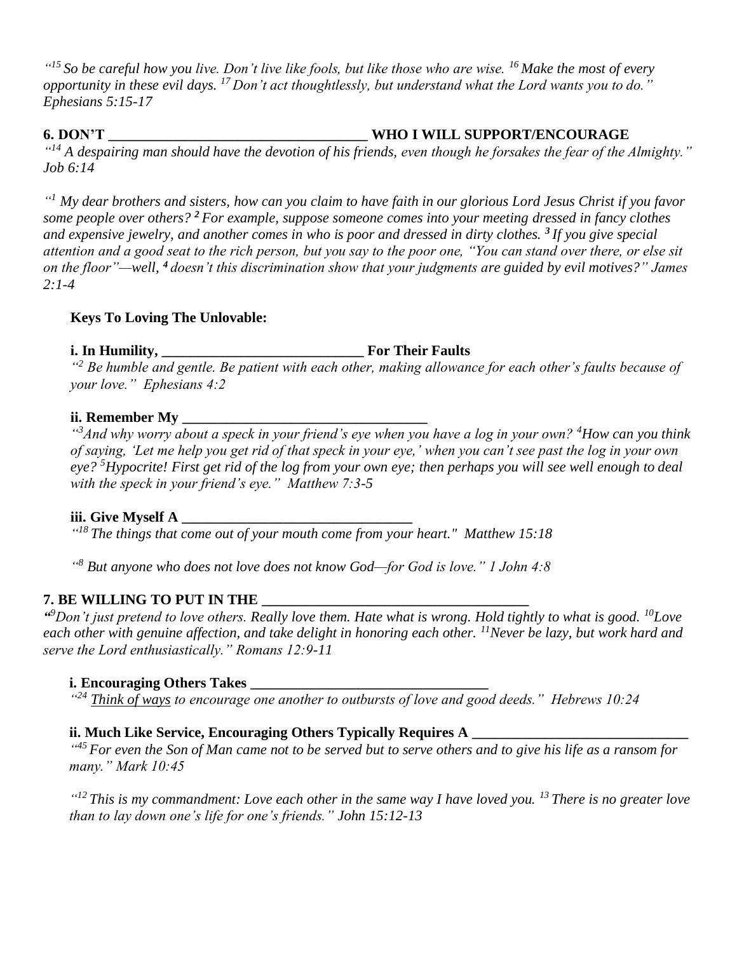*" <sup>15</sup> So be careful how you live. Don't live like fools, but like those who are wise. <sup>16</sup> Make the most of every opportunity in these evil days. <sup>17</sup> Don't act thoughtlessly, but understand what the Lord wants you to do." Ephesians 5:15-17*

#### **6. DON'T \_\_\_\_\_\_\_\_\_\_\_\_\_\_\_\_\_\_\_\_\_\_\_\_\_\_\_\_\_\_\_\_\_\_\_\_ WHO I WILL SUPPORT/ENCOURAGE**

*" <sup>14</sup> A despairing man should have the devotion of his friends, even though he forsakes the fear of the Almighty." Job 6:14* 

*" <sup>1</sup> My dear brothers and sisters, how can you claim to have faith in our glorious Lord Jesus Christ if you favor some people over others? <sup>2</sup> For example, suppose someone comes into your meeting dressed in fancy clothes and expensive jewelry, and another comes in who is poor and dressed in dirty clothes. <sup>3</sup> If you give special attention and a good seat to the rich person, but you say to the poor one, "You can stand over there, or else sit on the floor"—well, <sup>4</sup> doesn't this discrimination show that your judgments are guided by evil motives?" James 2:1-4*

## **Keys To Loving The Unlovable:**

## **i. In Humility, \_\_\_\_\_\_\_\_\_\_\_\_\_\_\_\_\_\_\_\_\_\_\_\_\_\_\_\_ For Their Faults**

*" <sup>2</sup> Be humble and gentle. Be patient with each other, making allowance for each other's faults because of your love." Ephesians 4:2*

#### **ii. Remember My \_\_\_\_\_\_\_\_\_\_\_\_\_\_\_\_\_\_\_\_\_\_\_\_\_\_\_\_\_\_\_\_\_\_**

*" <sup>3</sup>And why worry about a speck in your friend's eye when you have a log in your own? <sup>4</sup>How can you think of saying, 'Let me help you get rid of that speck in your eye,' when you can't see past the log in your own eye? <sup>5</sup>Hypocrite! First get rid of the log from your own eye; then perhaps you will see well enough to deal with the speck in your friend's eye." Matthew 7:3-5*

#### **iii. Give Myself A \_\_\_\_\_\_\_\_\_\_\_\_\_\_\_\_\_\_\_\_\_\_\_\_\_\_\_\_\_\_\_\_**

*" <sup>18</sup>The things that come out of your mouth come from your heart." Matthew 15:18* 

*" <sup>8</sup> But anyone who does not love does not know God—for God is love." 1 John 4:8*

## **7. BE WILLING TO PUT IN THE \_\_\_\_\_\_\_\_\_\_\_\_\_\_\_\_\_\_\_\_\_\_\_\_\_\_\_\_\_\_\_\_\_\_\_\_\_**

*" <sup>9</sup>Don't just pretend to love others. Really love them. Hate what is wrong. Hold tightly to what is good. <sup>10</sup>Love each other with genuine affection, and take delight in honoring each other. <sup>11</sup>Never be lazy, but work hard and serve the Lord enthusiastically." Romans 12:9-11*

## **i. Encouraging Others Takes**

*" <sup>24</sup> Think of ways to encourage one another to outbursts of love and good deeds." Hebrews 10:24*

## **ii. Much Like Service, Encouraging Others Typically Requires A \_\_\_\_\_\_\_\_\_\_\_\_\_\_\_\_\_\_\_\_\_\_\_\_\_\_\_\_\_\_**

<sup>445</sup> For even the Son of Man came not to be served but to serve others and to give his life as a ransom for *many." Mark 10:45*

*" <sup>12</sup> This is my commandment: Love each other in the same way I have loved you. <sup>13</sup> There is no greater love than to lay down one's life for one's friends." John 15:12-13*